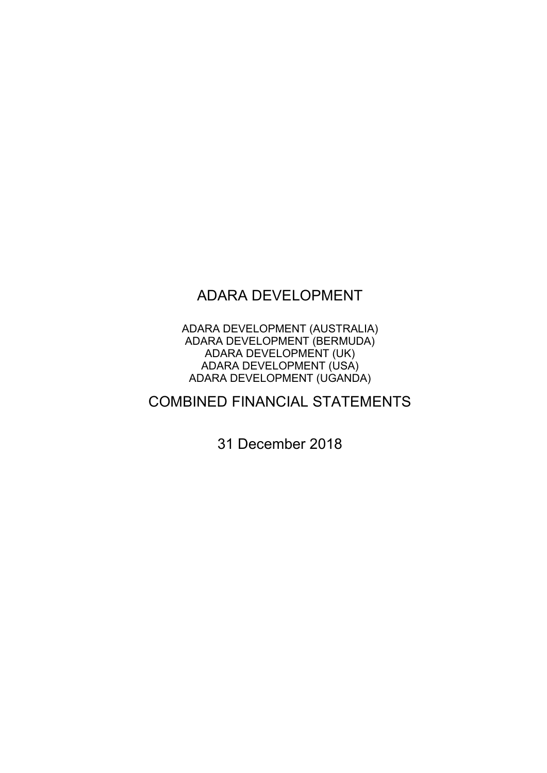# ADARA DEVELOPMENT

ADARA DEVELOPMENT (AUSTRALIA) ADARA DEVELOPMENT (BERMUDA) ADARA DEVELOPMENT (UK) ADARA DEVELOPMENT (USA) ADARA DEVELOPMENT (UGANDA)

# COMBINED FINANCIAL STATEMENTS

31 December 2018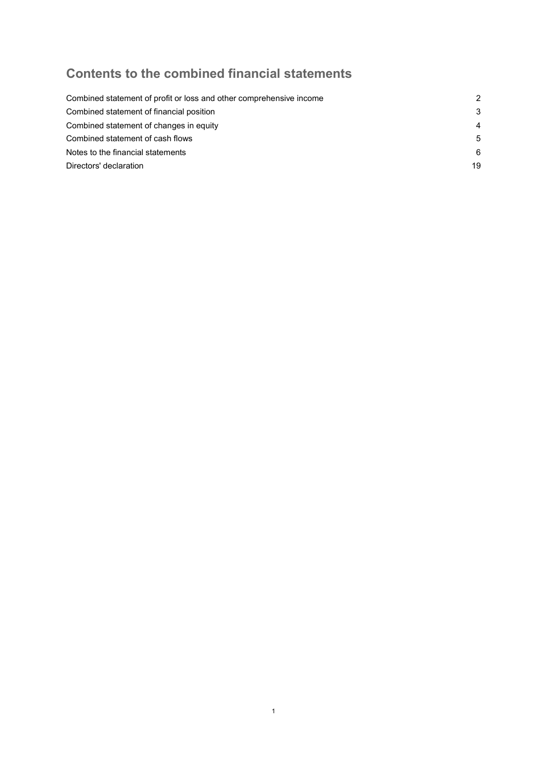# Contents to the combined financial statements

| Combined statement of profit or loss and other comprehensive income | 2              |
|---------------------------------------------------------------------|----------------|
| Combined statement of financial position                            | 3              |
| Combined statement of changes in equity                             | $\overline{4}$ |
| Combined statement of cash flows                                    | 5              |
| Notes to the financial statements                                   | 6              |
| Directors' declaration                                              | 19             |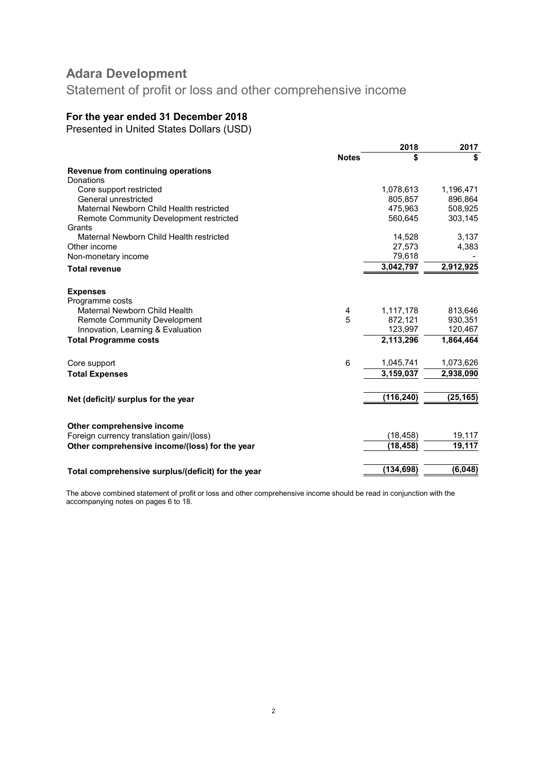Statement of profit or loss and other comprehensive income

### For the year ended 31 December 2018

Presented in United States Dollars (USD)

|                                                    |              | 2018       | 2017      |
|----------------------------------------------------|--------------|------------|-----------|
|                                                    | <b>Notes</b> | \$         |           |
| Revenue from continuing operations                 |              |            |           |
| Donations                                          |              |            |           |
| Core support restricted                            |              | 1,078,613  | 1,196,471 |
| General unrestricted                               |              | 805,857    | 896,864   |
| Maternal Newborn Child Health restricted           |              | 475,963    | 508,925   |
| Remote Community Development restricted            |              | 560,645    | 303,145   |
| Grants                                             |              |            |           |
| Maternal Newborn Child Health restricted           |              | 14,528     | 3,137     |
| Other income                                       |              | 27,573     | 4,383     |
| Non-monetary income                                |              | 79,618     |           |
| <b>Total revenue</b>                               |              | 3,042,797  | 2,912,925 |
|                                                    |              |            |           |
| <b>Expenses</b>                                    |              |            |           |
| Programme costs                                    |              |            |           |
| Maternal Newborn Child Health                      | 4            | 1,117,178  | 813,646   |
| <b>Remote Community Development</b>                | 5            | 872,121    | 930,351   |
| Innovation, Learning & Evaluation                  |              | 123,997    | 120,467   |
| <b>Total Programme costs</b>                       |              | 2,113,296  | 1,864,464 |
| Core support                                       | 6            | 1,045,741  | 1,073,626 |
| <b>Total Expenses</b>                              |              | 3,159,037  | 2,938,090 |
|                                                    |              |            |           |
| Net (deficit)/ surplus for the year                |              | (116, 240) | (25, 165) |
|                                                    |              |            |           |
| Other comprehensive income                         |              |            |           |
| Foreign currency translation gain/(loss)           |              | (18, 458)  | 19,117    |
| Other comprehensive income/(loss) for the year     |              | (18, 458)  | 19,117    |
|                                                    |              |            |           |
| Total comprehensive surplus/(deficit) for the year |              | (134,698)  | (6,048)   |
|                                                    |              |            |           |

The above combined statement of profit or loss and other comprehensive income should be read in conjunction with the accompanying notes on pages 6 to 18.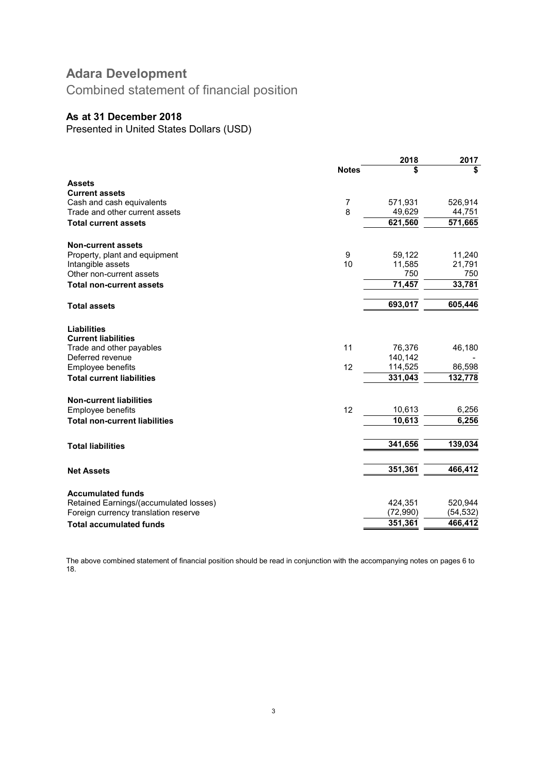Combined statement of financial position

### As at 31 December 2018

Presented in United States Dollars (USD)

|                                              |                | 2018              | 2017     |
|----------------------------------------------|----------------|-------------------|----------|
|                                              | <b>Notes</b>   | \$                | \$       |
| <b>Assets</b>                                |                |                   |          |
| <b>Current assets</b>                        |                |                   |          |
| Cash and cash equivalents                    | $\overline{7}$ | 571,931           | 526,914  |
| Trade and other current assets               | 8              | 49,629            | 44,751   |
| <b>Total current assets</b>                  |                | 621,560           | 571,665  |
| <b>Non-current assets</b>                    |                |                   |          |
| Property, plant and equipment                | 9              | 59,122            | 11,240   |
| Intangible assets                            | 10             | 11,585            | 21,791   |
| Other non-current assets                     |                | 750               | 750      |
| <b>Total non-current assets</b>              |                | 71,457            | 33,781   |
| <b>Total assets</b>                          |                | 693,017           | 605,446  |
| <b>Liabilities</b>                           |                |                   |          |
| <b>Current liabilities</b>                   | 11             |                   |          |
| Trade and other payables<br>Deferred revenue |                | 76,376<br>140,142 | 46,180   |
| Employee benefits                            | 12             | 114,525           | 86,598   |
| <b>Total current liabilities</b>             |                | 331,043           | 132,778  |
| <b>Non-current liabilities</b>               |                |                   |          |
| Employee benefits                            | 12             | 10,613            | 6,256    |
| <b>Total non-current liabilities</b>         |                | 10,613            | 6,256    |
|                                              |                |                   |          |
| <b>Total liabilities</b>                     |                | 341,656           | 139,034  |
| <b>Net Assets</b>                            |                | 351,361           | 466,412  |
| <b>Accumulated funds</b>                     |                |                   |          |
| Retained Earnings/(accumulated losses)       |                | 424,351           | 520,944  |
| Foreign currency translation reserve         |                | (72,990)          | (54,532) |
| <b>Total accumulated funds</b>               |                | 351,361           | 466,412  |
|                                              |                |                   |          |

The above combined statement of financial position should be read in conjunction with the accompanying notes on pages 6 to 18.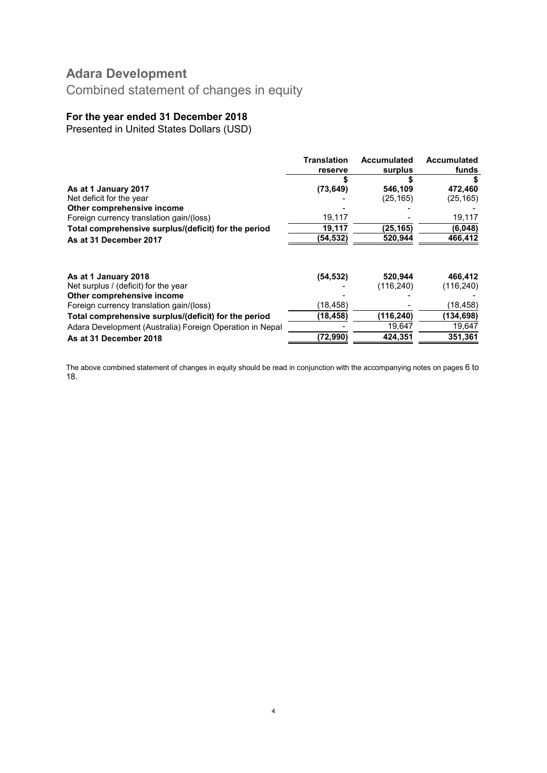Combined statement of changes in equity

# For the year ended 31 December 2018

Presented in United States Dollars (USD)

| <b>Translation</b> | <b>Accumulated</b> | <b>Accumulated</b>    |
|--------------------|--------------------|-----------------------|
| reserve            | surplus            | funds                 |
|                    |                    |                       |
| (73, 649)          | 546,109            | 472,460               |
|                    | (25, 165)          | (25, 165)             |
|                    |                    |                       |
| 19,117             |                    | 19,117                |
| 19,117             | (25, 165)          | (6,048)               |
| (54,532)           | 520,944            | 466,412               |
|                    |                    | 466,412               |
|                    |                    | (116, 240)            |
|                    |                    |                       |
| (18,458)           |                    | (18, 458)             |
| (18, 458)          | (116, 240)         | (134,698)             |
|                    | 19,647             | 19,647                |
| (72, 990)          | 424,351            | 351,361               |
|                    | (54, 532)          | 520,944<br>(116, 240) |

The above combined statement of changes in equity should be read in conjunction with the accompanying notes on pages 6 to 18.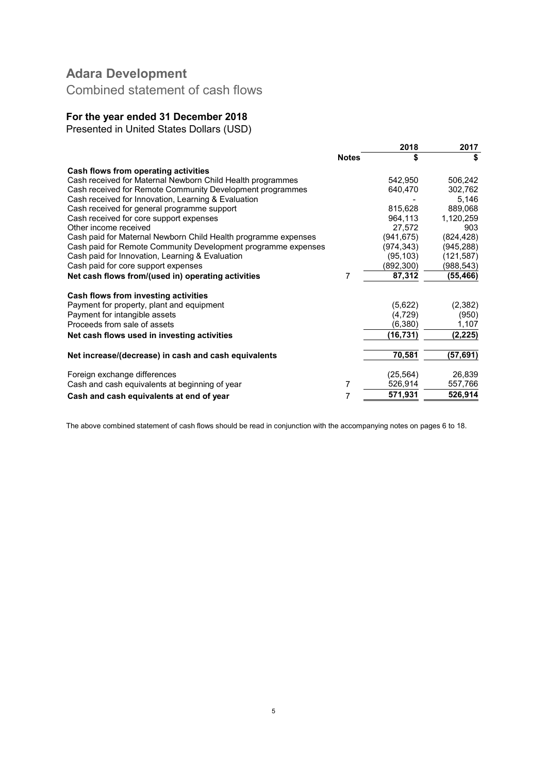Combined statement of cash flows

# For the year ended 31 December 2018

Presented in United States Dollars (USD)

|                                                                |              | 2018       | 2017      |
|----------------------------------------------------------------|--------------|------------|-----------|
|                                                                | <b>Notes</b> | \$         | \$        |
| Cash flows from operating activities                           |              |            |           |
| Cash received for Maternal Newborn Child Health programmes     |              | 542,950    | 506,242   |
| Cash received for Remote Community Development programmes      |              | 640,470    | 302,762   |
| Cash received for Innovation, Learning & Evaluation            |              |            | 5,146     |
| Cash received for general programme support                    |              | 815,628    | 889,068   |
| Cash received for core support expenses                        |              | 964,113    | 1,120,259 |
| Other income received                                          |              | 27,572     | 903       |
| Cash paid for Maternal Newborn Child Health programme expenses |              | (941, 675) | (824,428) |
| Cash paid for Remote Community Development programme expenses  |              | (974, 343) | (945,288) |
| Cash paid for Innovation, Learning & Evaluation                |              | (95, 103)  | (121,587) |
| Cash paid for core support expenses                            |              | (892, 300) | (988,543) |
| Net cash flows from/(used in) operating activities             | 7            | 87,312     | (55, 466) |
| Cash flows from investing activities                           |              |            |           |
| Payment for property, plant and equipment                      |              | (5,622)    | (2, 382)  |
| Payment for intangible assets                                  |              | (4, 729)   | (950)     |
| Proceeds from sale of assets                                   |              | (6,380)    | 1,107     |
| Net cash flows used in investing activities                    |              | (16,731)   | (2, 225)  |
| Net increase/(decrease) in cash and cash equivalents           |              | 70,581     | (57, 691) |
|                                                                |              |            |           |
| Foreign exchange differences                                   |              | (25, 564)  | 26,839    |
| Cash and cash equivalents at beginning of year                 | 7            | 526,914    | 557,766   |
| Cash and cash equivalents at end of year                       |              | 571,931    | 526,914   |

The above combined statement of cash flows should be read in conjunction with the accompanying notes on pages 6 to 18.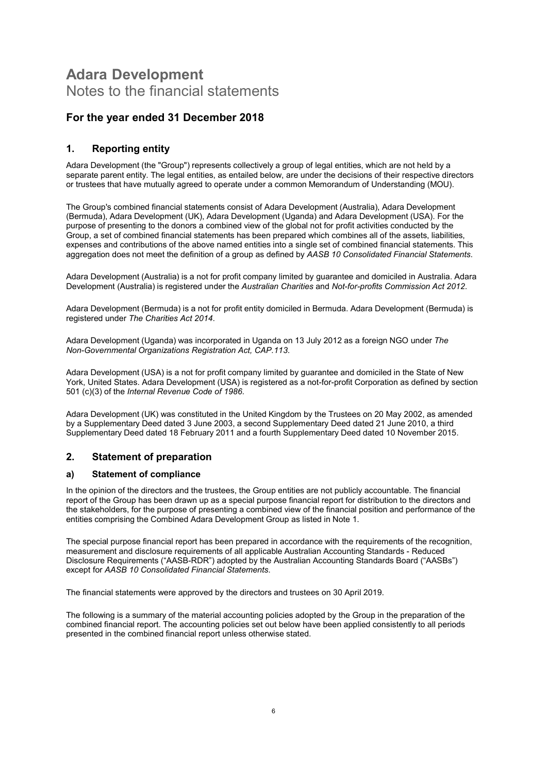# Adara Development Notes to the financial statements

### For the year ended 31 December 2018

### 1. Reporting entity

Adara Development (the "Group") represents collectively a group of legal entities, which are not held by a separate parent entity. The legal entities, as entailed below, are under the decisions of their respective directors or trustees that have mutually agreed to operate under a common Memorandum of Understanding (MOU).

The Group's combined financial statements consist of Adara Development (Australia), Adara Development (Bermuda), Adara Development (UK), Adara Development (Uganda) and Adara Development (USA). For the purpose of presenting to the donors a combined view of the global not for profit activities conducted by the Group, a set of combined financial statements has been prepared which combines all of the assets, liabilities, expenses and contributions of the above named entities into a single set of combined financial statements. This aggregation does not meet the definition of a group as defined by AASB 10 Consolidated Financial Statements.

Adara Development (Australia) is a not for profit company limited by guarantee and domiciled in Australia. Adara Development (Australia) is registered under the Australian Charities and Not-for-profits Commission Act 2012.

Adara Development (Bermuda) is a not for profit entity domiciled in Bermuda. Adara Development (Bermuda) is registered under The Charities Act 2014.

Adara Development (Uganda) was incorporated in Uganda on 13 July 2012 as a foreign NGO under The Non-Governmental Organizations Registration Act, CAP.113.

Adara Development (USA) is a not for profit company limited by guarantee and domiciled in the State of New York, United States. Adara Development (USA) is registered as a not-for-profit Corporation as defined by section 501 (c)(3) of the Internal Revenue Code of 1986.

Adara Development (UK) was constituted in the United Kingdom by the Trustees on 20 May 2002, as amended by a Supplementary Deed dated 3 June 2003, a second Supplementary Deed dated 21 June 2010, a third Supplementary Deed dated 18 February 2011 and a fourth Supplementary Deed dated 10 November 2015.

### 2. Statement of preparation

#### a) Statement of compliance

In the opinion of the directors and the trustees, the Group entities are not publicly accountable. The financial report of the Group has been drawn up as a special purpose financial report for distribution to the directors and the stakeholders, for the purpose of presenting a combined view of the financial position and performance of the entities comprising the Combined Adara Development Group as listed in Note 1.

The special purpose financial report has been prepared in accordance with the requirements of the recognition, measurement and disclosure requirements of all applicable Australian Accounting Standards - Reduced Disclosure Requirements ("AASB-RDR") adopted by the Australian Accounting Standards Board ("AASBs") except for AASB 10 Consolidated Financial Statements.

The financial statements were approved by the directors and trustees on 30 April 2019.

The following is a summary of the material accounting policies adopted by the Group in the preparation of the combined financial report. The accounting policies set out below have been applied consistently to all periods presented in the combined financial report unless otherwise stated.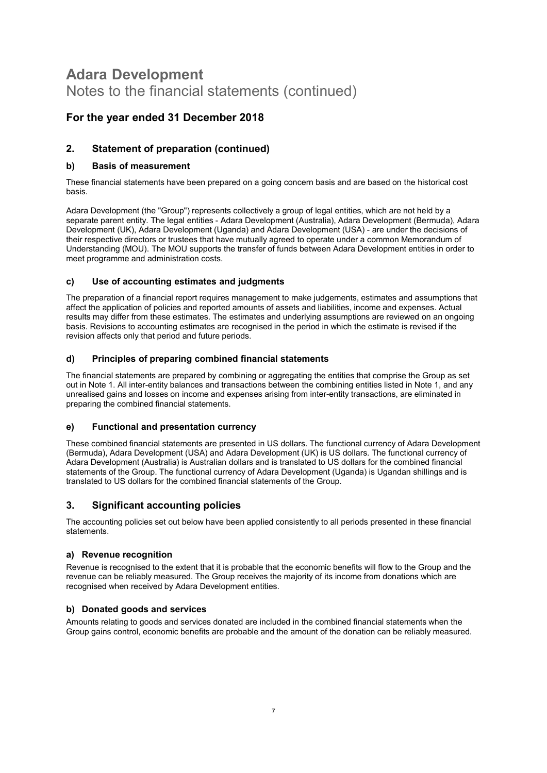# For the year ended 31 December 2018

### 2. Statement of preparation (continued)

#### b) Basis of measurement

These financial statements have been prepared on a going concern basis and are based on the historical cost basis.

Adara Development (the "Group") represents collectively a group of legal entities, which are not held by a separate parent entity. The legal entities - Adara Development (Australia), Adara Development (Bermuda), Adara Development (UK), Adara Development (Uganda) and Adara Development (USA) - are under the decisions of their respective directors or trustees that have mutually agreed to operate under a common Memorandum of Understanding (MOU). The MOU supports the transfer of funds between Adara Development entities in order to meet programme and administration costs.

#### c) Use of accounting estimates and judgments

The preparation of a financial report requires management to make judgements, estimates and assumptions that affect the application of policies and reported amounts of assets and liabilities, income and expenses. Actual results may differ from these estimates. The estimates and underlying assumptions are reviewed on an ongoing basis. Revisions to accounting estimates are recognised in the period in which the estimate is revised if the revision affects only that period and future periods.

#### d) Principles of preparing combined financial statements

The financial statements are prepared by combining or aggregating the entities that comprise the Group as set out in Note 1. All inter-entity balances and transactions between the combining entities listed in Note 1, and any unrealised gains and losses on income and expenses arising from inter-entity transactions, are eliminated in preparing the combined financial statements.

#### e) Functional and presentation currency

These combined financial statements are presented in US dollars. The functional currency of Adara Development (Bermuda), Adara Development (USA) and Adara Development (UK) is US dollars. The functional currency of Adara Development (Australia) is Australian dollars and is translated to US dollars for the combined financial statements of the Group. The functional currency of Adara Development (Uganda) is Ugandan shillings and is translated to US dollars for the combined financial statements of the Group.

### 3. Significant accounting policies

The accounting policies set out below have been applied consistently to all periods presented in these financial statements.

#### a) Revenue recognition

Revenue is recognised to the extent that it is probable that the economic benefits will flow to the Group and the revenue can be reliably measured. The Group receives the majority of its income from donations which are recognised when received by Adara Development entities.

#### b) Donated goods and services

Amounts relating to goods and services donated are included in the combined financial statements when the Group gains control, economic benefits are probable and the amount of the donation can be reliably measured.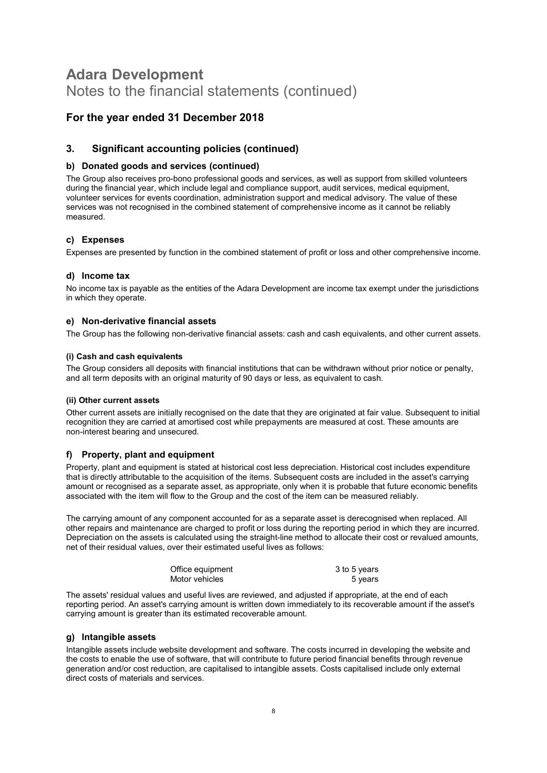### For the year ended 31 December 2018

### 3. Significant accounting policies (continued)

#### b) Donated goods and services (continued)

The Group also receives pro-bono professional goods and services, as well as support from skilled volunteers during the financial year, which include legal and compliance support, audit services, medical equipment, volunteer services for events coordination, administration support and medical advisory. The value of these services was not recognised in the combined statement of comprehensive income as it cannot be reliably measured.

#### c) Expenses

Expenses are presented by function in the combined statement of profit or loss and other comprehensive income.

#### d) Income tax

No income tax is payable as the entities of the Adara Development are income tax exempt under the jurisdictions in which they operate.

#### e) Non-derivative financial assets

The Group has the following non-derivative financial assets: cash and cash equivalents, and other current assets.

#### (i) Cash and cash equivalents

The Group considers all deposits with financial institutions that can be withdrawn without prior notice or penalty, and all term deposits with an original maturity of 90 days or less, as equivalent to cash.

#### (ii) Other current assets

Other current assets are initially recognised on the date that they are originated at fair value. Subsequent to initial recognition they are carried at amortised cost while prepayments are measured at cost. These amounts are non-interest bearing and unsecured.

#### f) Property, plant and equipment

Property, plant and equipment is stated at historical cost less depreciation. Historical cost includes expenditure that is directly attributable to the acquisition of the items. Subsequent costs are included in the asset's carrying amount or recognised as a separate asset, as appropriate, only when it is probable that future economic benefits associated with the item will flow to the Group and the cost of the item can be measured reliably.

The carrying amount of any component accounted for as a separate asset is derecognised when replaced. All other repairs and maintenance are charged to profit or loss during the reporting period in which they are incurred. Depreciation on the assets is calculated using the straight-line method to allocate their cost or revalued amounts, net of their residual values, over their estimated useful lives as follows:

| Office equipment | 3 to 5 years |
|------------------|--------------|
| Motor vehicles   | 5 years      |

The assets' residual values and useful lives are reviewed, and adjusted if appropriate, at the end of each reporting period. An asset's carrying amount is written down immediately to its recoverable amount if the asset's carrying amount is greater than its estimated recoverable amount.

#### g) Intangible assets

Intangible assets include website development and software. The costs incurred in developing the website and the costs to enable the use of software, that will contribute to future period financial benefits through revenue generation and/or cost reduction, are capitalised to intangible assets. Costs capitalised include only external direct costs of materials and services.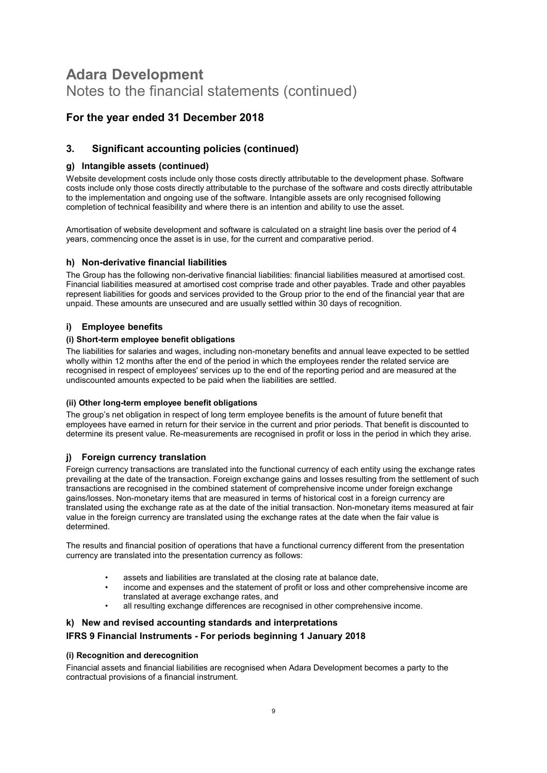# For the year ended 31 December 2018

### 3. Significant accounting policies (continued)

#### g) Intangible assets (continued)

Website development costs include only those costs directly attributable to the development phase. Software costs include only those costs directly attributable to the purchase of the software and costs directly attributable to the implementation and ongoing use of the software. Intangible assets are only recognised following completion of technical feasibility and where there is an intention and ability to use the asset.

Amortisation of website development and software is calculated on a straight line basis over the period of 4 years, commencing once the asset is in use, for the current and comparative period.

#### h) Non-derivative financial liabilities

The Group has the following non-derivative financial liabilities: financial liabilities measured at amortised cost. Financial liabilities measured at amortised cost comprise trade and other payables. Trade and other payables represent liabilities for goods and services provided to the Group prior to the end of the financial year that are unpaid. These amounts are unsecured and are usually settled within 30 days of recognition.

#### i) Employee benefits

#### (i) Short-term employee benefit obligations

The liabilities for salaries and wages, including non-monetary benefits and annual leave expected to be settled wholly within 12 months after the end of the period in which the employees render the related service are recognised in respect of employees' services up to the end of the reporting period and are measured at the undiscounted amounts expected to be paid when the liabilities are settled.

#### (ii) Other long-term employee benefit obligations

The group's net obligation in respect of long term employee benefits is the amount of future benefit that employees have earned in return for their service in the current and prior periods. That benefit is discounted to determine its present value. Re-measurements are recognised in profit or loss in the period in which they arise.

#### j) Foreign currency translation

Foreign currency transactions are translated into the functional currency of each entity using the exchange rates prevailing at the date of the transaction. Foreign exchange gains and losses resulting from the settlement of such transactions are recognised in the combined statement of comprehensive income under foreign exchange gains/losses. Non-monetary items that are measured in terms of historical cost in a foreign currency are translated using the exchange rate as at the date of the initial transaction. Non-monetary items measured at fair value in the foreign currency are translated using the exchange rates at the date when the fair value is determined.

The results and financial position of operations that have a functional currency different from the presentation currency are translated into the presentation currency as follows:

- assets and liabilities are translated at the closing rate at balance date,
- income and expenses and the statement of profit or loss and other comprehensive income are translated at average exchange rates, and
- all resulting exchange differences are recognised in other comprehensive income.

#### k) New and revised accounting standards and interpretations

#### IFRS 9 Financial Instruments - For periods beginning 1 January 2018

#### (i) Recognition and derecognition

Financial assets and financial liabilities are recognised when Adara Development becomes a party to the contractual provisions of a financial instrument.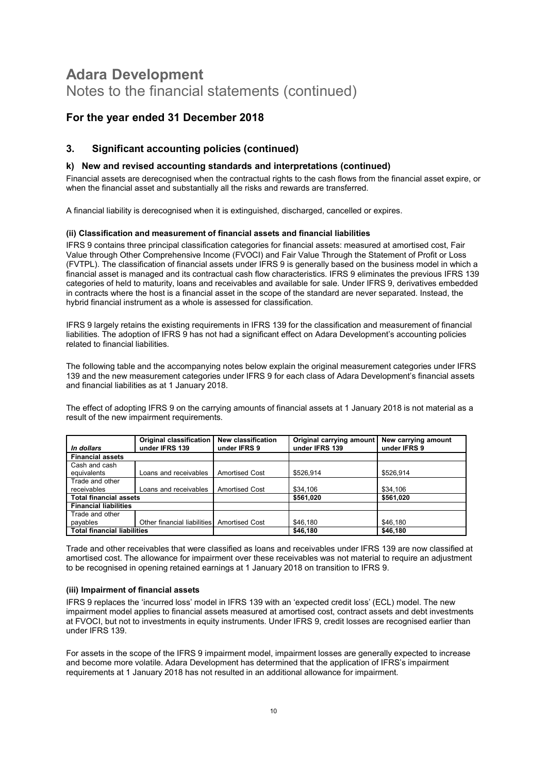### For the year ended 31 December 2018

### 3. Significant accounting policies (continued)

#### k) New and revised accounting standards and interpretations (continued)

Financial assets are derecognised when the contractual rights to the cash flows from the financial asset expire, or when the financial asset and substantially all the risks and rewards are transferred.

A financial liability is derecognised when it is extinguished, discharged, cancelled or expires.

#### (ii) Classification and measurement of financial assets and financial liabilities

IFRS 9 contains three principal classification categories for financial assets: measured at amortised cost, Fair Value through Other Comprehensive Income (FVOCI) and Fair Value Through the Statement of Profit or Loss (FVTPL). The classification of financial assets under IFRS 9 is generally based on the business model in which a financial asset is managed and its contractual cash flow characteristics. IFRS 9 eliminates the previous IFRS 139 categories of held to maturity, loans and receivables and available for sale. Under IFRS 9, derivatives embedded in contracts where the host is a financial asset in the scope of the standard are never separated. Instead, the hybrid financial instrument as a whole is assessed for classification.

IFRS 9 largely retains the existing requirements in IFRS 139 for the classification and measurement of financial liabilities. The adoption of IFRS 9 has not had a significant effect on Adara Development's accounting policies related to financial liabilities.

The following table and the accompanying notes below explain the original measurement categories under IFRS 139 and the new measurement categories under IFRS 9 for each class of Adara Development's financial assets and financial liabilities as at 1 January 2018.

The effect of adopting IFRS 9 on the carrying amounts of financial assets at 1 January 2018 is not material as a result of the new impairment requirements.

|                                    | <b>Original classification</b>             | New classification    | Original carrying amount | New carrying amount |
|------------------------------------|--------------------------------------------|-----------------------|--------------------------|---------------------|
| In dollars                         | under IFRS 139                             | under IFRS 9          | under IFRS 139           | under IFRS 9        |
| <b>Financial assets</b>            |                                            |                       |                          |                     |
| Cash and cash                      |                                            |                       |                          |                     |
| equivalents                        | Loans and receivables                      | <b>Amortised Cost</b> | \$526.914                | \$526.914           |
| Trade and other                    |                                            |                       |                          |                     |
| receivables                        | Loans and receivables                      | <b>Amortised Cost</b> | \$34,106                 | \$34,106            |
| <b>Total financial assets</b>      |                                            |                       | \$561,020                | \$561.020           |
| <b>Financial liabilities</b>       |                                            |                       |                          |                     |
| Trade and other                    |                                            |                       |                          |                     |
| payables                           | Other financial liabilities Amortised Cost |                       | \$46.180                 | \$46,180            |
| <b>Total financial liabilities</b> |                                            |                       | \$46,180                 | \$46,180            |

Trade and other receivables that were classified as loans and receivables under IFRS 139 are now classified at amortised cost. The allowance for impairment over these receivables was not material to require an adjustment to be recognised in opening retained earnings at 1 January 2018 on transition to IFRS 9.

#### (iii) Impairment of financial assets

IFRS 9 replaces the 'incurred loss' model in IFRS 139 with an 'expected credit loss' (ECL) model. The new impairment model applies to financial assets measured at amortised cost, contract assets and debt investments at FVOCI, but not to investments in equity instruments. Under IFRS 9, credit losses are recognised earlier than under IFRS 139.

For assets in the scope of the IFRS 9 impairment model, impairment losses are generally expected to increase and become more volatile. Adara Development has determined that the application of IFRS's impairment requirements at 1 January 2018 has not resulted in an additional allowance for impairment.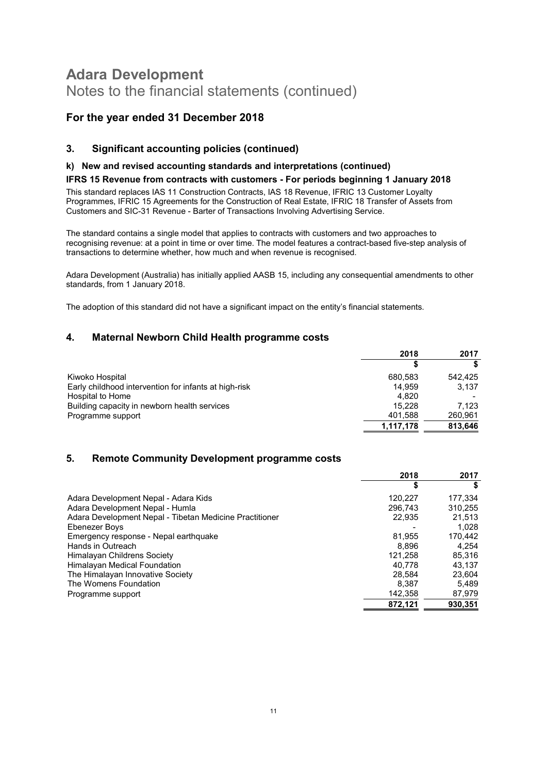# For the year ended 31 December 2018

### 3. Significant accounting policies (continued)

#### k) New and revised accounting standards and interpretations (continued)

#### IFRS 15 Revenue from contracts with customers - For periods beginning 1 January 2018

This standard replaces IAS 11 Construction Contracts, IAS 18 Revenue, IFRIC 13 Customer Loyalty Programmes, IFRIC 15 Agreements for the Construction of Real Estate, IFRIC 18 Transfer of Assets from Customers and SIC-31 Revenue - Barter of Transactions Involving Advertising Service.

The standard contains a single model that applies to contracts with customers and two approaches to recognising revenue: at a point in time or over time. The model features a contract-based five-step analysis of transactions to determine whether, how much and when revenue is recognised.

Adara Development (Australia) has initially applied AASB 15, including any consequential amendments to other standards, from 1 January 2018.

The adoption of this standard did not have a significant impact on the entity's financial statements.

### 4. Maternal Newborn Child Health programme costs

|                                                       | 2018      | 2017    |
|-------------------------------------------------------|-----------|---------|
|                                                       |           |         |
| Kiwoko Hospital                                       | 680.583   | 542.425 |
| Early childhood intervention for infants at high-risk | 14.959    | 3,137   |
| Hospital to Home                                      | 4.820     |         |
| Building capacity in newborn health services          | 15.228    | 7.123   |
| Programme support                                     | 401,588   | 260,961 |
|                                                       | 1,117,178 | 813,646 |

### 5. Remote Community Development programme costs

|                                                         | 2018    | 2017    |
|---------------------------------------------------------|---------|---------|
|                                                         | \$      | S       |
| Adara Development Nepal - Adara Kids                    | 120.227 | 177.334 |
| Adara Development Nepal - Humla                         | 296.743 | 310.255 |
| Adara Development Nepal - Tibetan Medicine Practitioner | 22,935  | 21.513  |
| Ebenezer Boys                                           |         | 1.028   |
| Emergency response - Nepal earthquake                   | 81.955  | 170,442 |
| Hands in Outreach                                       | 8.896   | 4.254   |
| Himalayan Childrens Society                             | 121.258 | 85.316  |
| Himalayan Medical Foundation                            | 40.778  | 43.137  |
| The Himalayan Innovative Society                        | 28.584  | 23,604  |
| The Womens Foundation                                   | 8.387   | 5.489   |
| Programme support                                       | 142,358 | 87,979  |
|                                                         | 872.121 | 930.351 |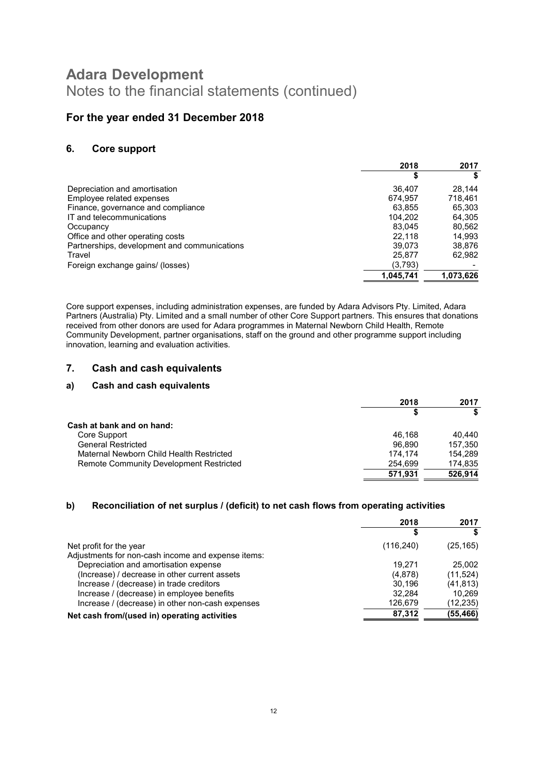### For the year ended 31 December 2018

### 6. Core support

|                                              | 2018      | 2017      |
|----------------------------------------------|-----------|-----------|
|                                              | \$        |           |
| Depreciation and amortisation                | 36.407    | 28.144    |
| Employee related expenses                    | 674.957   | 718,461   |
| Finance, governance and compliance           | 63.855    | 65,303    |
| IT and telecommunications                    | 104.202   | 64,305    |
| Occupancy                                    | 83.045    | 80,562    |
| Office and other operating costs             | 22.118    | 14,993    |
| Partnerships, development and communications | 39.073    | 38,876    |
| Travel                                       | 25,877    | 62,982    |
| Foreign exchange gains/ (losses)             | (3,793)   |           |
|                                              | 1,045,741 | 1,073,626 |

Core support expenses, including administration expenses, are funded by Adara Advisors Pty. Limited, Adara Partners (Australia) Pty. Limited and a small number of other Core Support partners. This ensures that donations received from other donors are used for Adara programmes in Maternal Newborn Child Health, Remote Community Development, partner organisations, staff on the ground and other programme support including innovation, learning and evaluation activities.

#### 7. Cash and cash equivalents

#### a) Cash and cash equivalents

|                                                | 2018    | 2017    |
|------------------------------------------------|---------|---------|
|                                                |         |         |
| Cash at bank and on hand:                      |         |         |
| Core Support                                   | 46.168  | 40.440  |
| <b>General Restricted</b>                      | 96.890  | 157.350 |
| Maternal Newborn Child Health Restricted       | 174.174 | 154.289 |
| <b>Remote Community Development Restricted</b> | 254.699 | 174.835 |
|                                                | 571,931 | 526,914 |

#### b) Reconciliation of net surplus / (deficit) to net cash flows from operating activities

|                                                    | 2018       | 2017      |
|----------------------------------------------------|------------|-----------|
|                                                    |            |           |
| Net profit for the year                            | (116, 240) | (25, 165) |
| Adjustments for non-cash income and expense items: |            |           |
| Depreciation and amortisation expense              | 19.271     | 25,002    |
| (Increase) / decrease in other current assets      | (4,878)    | (11, 524) |
| Increase / (decrease) in trade creditors           | 30.196     | (41, 813) |
| Increase / (decrease) in employee benefits         | 32.284     | 10.269    |
| Increase / (decrease) in other non-cash expenses   | 126,679    | (12,235)  |
| Net cash from/(used in) operating activities       | 87,312     | (55,466)  |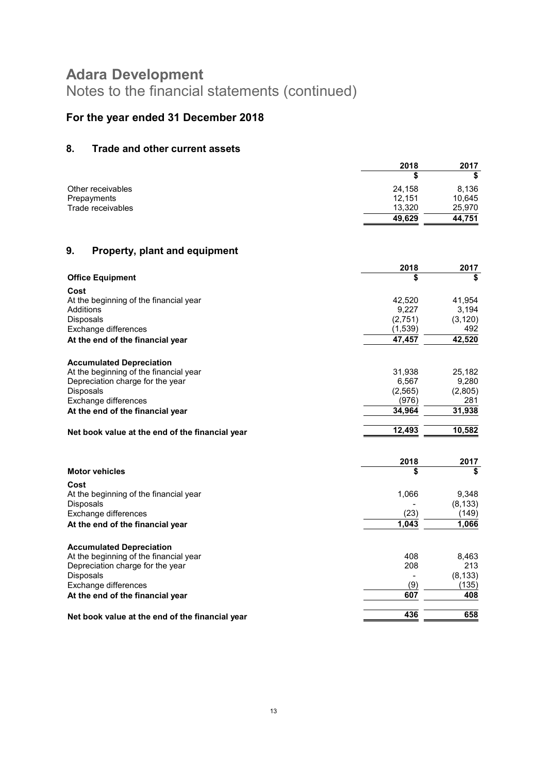# For the year ended 31 December 2018

# 8. Trade and other current assets

|                   | 2018   | 2017   |  |
|-------------------|--------|--------|--|
|                   |        |        |  |
| Other receivables | 24.158 | 8,136  |  |
| Prepayments       | 12,151 | 10,645 |  |
| Trade receivables | 13.320 | 25,970 |  |
|                   | 49,629 | 44,751 |  |

# 9. Property, plant and equipment

|                                                 | 2018     | 2017     |
|-------------------------------------------------|----------|----------|
| <b>Office Equipment</b>                         | \$       | \$       |
| Cost                                            |          |          |
| At the beginning of the financial year          | 42,520   | 41,954   |
| Additions                                       | 9,227    | 3,194    |
| <b>Disposals</b>                                | (2,751)  | (3, 120) |
| Exchange differences                            | (1,539)  | 492      |
| At the end of the financial year                | 47,457   | 42,520   |
| <b>Accumulated Depreciation</b>                 |          |          |
| At the beginning of the financial year          | 31,938   | 25,182   |
| Depreciation charge for the year                | 6,567    | 9,280    |
| Disposals                                       | (2, 565) | (2,805)  |
| Exchange differences                            | (976)    | 281      |
| At the end of the financial year                | 34,964   | 31,938   |
|                                                 | 12,493   | 10,582   |
| Net book value at the end of the financial year |          |          |
|                                                 |          |          |
|                                                 | 2018     | 2017     |
| <b>Motor vehicles</b>                           | \$       | \$       |
| Cost                                            |          |          |
| At the beginning of the financial year          | 1,066    | 9,348    |
| Disposals                                       |          | (8, 133) |
| Exchange differences                            | (23)     | (149)    |
| At the end of the financial year                | 1,043    | 1,066    |
| <b>Accumulated Depreciation</b>                 |          |          |
| At the beginning of the financial year          | 408      | 8,463    |
| Depreciation charge for the year                | 208      | 213      |
| Disposals                                       |          | (8, 133) |
| Exchange differences                            | (9)      | (135)    |
| At the end of the financial year                | 607      | 408      |
| Net book value at the end of the financial year | 436      | 658      |
|                                                 |          |          |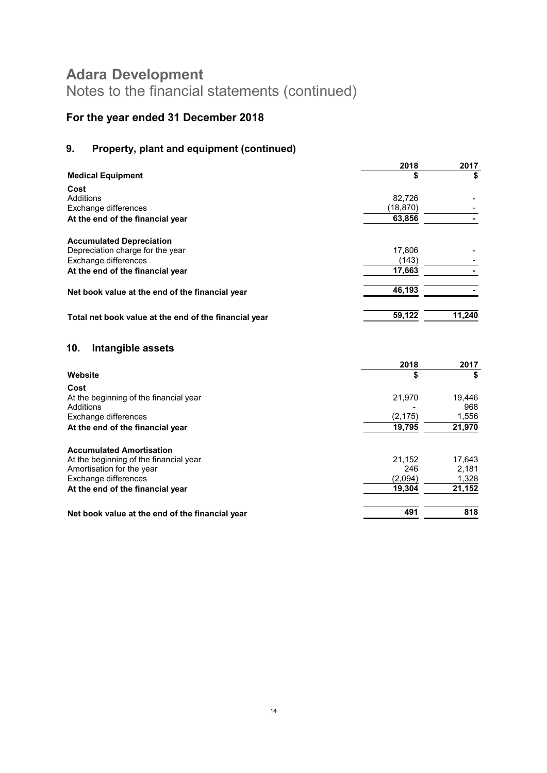# For the year ended 31 December 2018

# 9. Property, plant and equipment (continued)

|                                                       | 2018      | 2017   |
|-------------------------------------------------------|-----------|--------|
| <b>Medical Equipment</b>                              | \$        | \$     |
| Cost                                                  |           |        |
| Additions                                             | 82.726    |        |
| Exchange differences                                  | (18, 870) |        |
| At the end of the financial year                      | 63,856    |        |
| <b>Accumulated Depreciation</b>                       |           |        |
| Depreciation charge for the year                      | 17,806    |        |
| Exchange differences                                  | (143)     |        |
| At the end of the financial year                      | 17,663    |        |
| Net book value at the end of the financial year       | 46,193    |        |
|                                                       |           |        |
| Total net book value at the end of the financial year | 59,122    | 11,240 |
| 10.<br>Intangible assets                              |           |        |
|                                                       | 2018      | 2017   |
| Website                                               | \$        | \$     |
| Cost                                                  |           |        |
| At the beginning of the financial year                | 21,970    | 19,446 |
| Additions                                             |           | 968    |
| Exchange differences                                  | (2, 175)  | 1,556  |
| At the end of the financial year                      | 19,795    | 21,970 |
| <b>Accumulated Amortisation</b>                       |           |        |
| At the beginning of the financial year                | 21,152    | 17,643 |
| Amortisation for the year                             | 246       | 2,181  |
| Exchange differences                                  | (2,094)   | 1,328  |
| At the end of the financial year                      | 19,304    | 21,152 |

Net book value at the end of the financial year 491 Alexander 491 Alexander 491 Alexander 491 Alexander 491 Alexander 491 Alexander 491 Alexander 491 Alexander 491 Alexander 491 Alexander 491 Alexander 491 Alexander 491 Al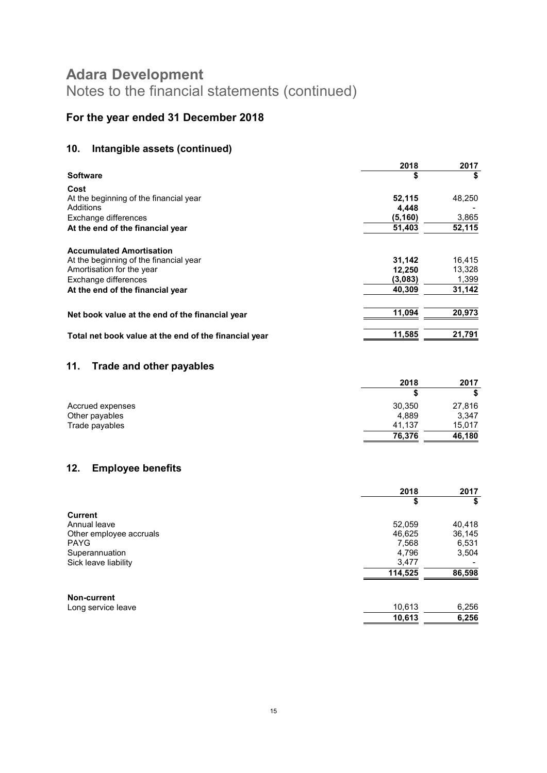# For the year ended 31 December 2018

# 10. Intangible assets (continued)

|                                                       | 2018    | 2017   |
|-------------------------------------------------------|---------|--------|
| <b>Software</b>                                       | \$      | \$     |
| Cost                                                  |         |        |
| At the beginning of the financial year                | 52,115  | 48,250 |
| Additions                                             | 4,448   |        |
| Exchange differences                                  | (5,160) | 3,865  |
| At the end of the financial year                      | 51,403  | 52,115 |
| <b>Accumulated Amortisation</b>                       |         |        |
| At the beginning of the financial year                | 31,142  | 16,415 |
| Amortisation for the year                             | 12,250  | 13,328 |
| Exchange differences                                  | (3,083) | 1,399  |
| At the end of the financial year                      | 40,309  | 31,142 |
| Net book value at the end of the financial year       | 11.094  | 20,973 |
| Total net book value at the end of the financial year | 11,585  | 21,791 |

### 11. Trade and other payables

|                  | 2018   | 2017   |
|------------------|--------|--------|
|                  |        |        |
| Accrued expenses | 30,350 | 27,816 |
| Other payables   | 4.889  | 3,347  |
| Trade payables   | 41.137 | 15,017 |
|                  | 76,376 | 46.180 |

# 12. Employee benefits

|                         | 2018    | 2017   |
|-------------------------|---------|--------|
|                         | \$      | S      |
| <b>Current</b>          |         |        |
| Annual leave            | 52,059  | 40,418 |
| Other employee accruals | 46,625  | 36,145 |
| <b>PAYG</b>             | 7,568   | 6,531  |
| Superannuation          | 4,796   | 3,504  |
| Sick leave liability    | 3,477   |        |
|                         | 114,525 | 86,598 |
| <b>Non-current</b>      |         |        |
| Long service leave      | 10,613  | 6,256  |
|                         | 10,613  | 6,256  |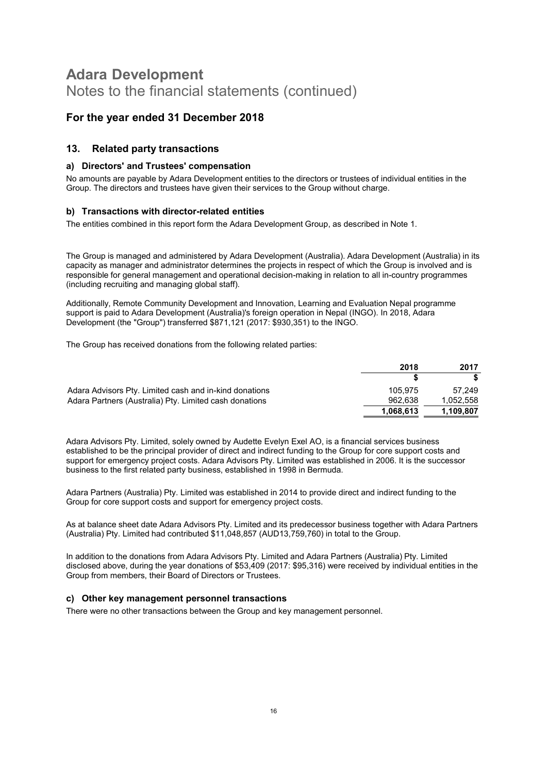### For the year ended 31 December 2018

#### 13. Related party transactions

#### a) Directors' and Trustees' compensation

No amounts are payable by Adara Development entities to the directors or trustees of individual entities in the Group. The directors and trustees have given their services to the Group without charge.

#### b) Transactions with director-related entities

The entities combined in this report form the Adara Development Group, as described in Note 1.

The Group is managed and administered by Adara Development (Australia). Adara Development (Australia) in its capacity as manager and administrator determines the projects in respect of which the Group is involved and is responsible for general management and operational decision-making in relation to all in-country programmes (including recruiting and managing global staff).

Additionally, Remote Community Development and Innovation, Learning and Evaluation Nepal programme support is paid to Adara Development (Australia)'s foreign operation in Nepal (INGO). In 2018, Adara Development (the "Group") transferred \$871,121 (2017: \$930,351) to the INGO.

The Group has received donations from the following related parties:

|                                                        | 2018      | 2017      |
|--------------------------------------------------------|-----------|-----------|
|                                                        |           |           |
| Adara Advisors Pty. Limited cash and in-kind donations | 105.975   | 57.249    |
| Adara Partners (Australia) Pty. Limited cash donations | 962.638   | 1,052,558 |
|                                                        | 1,068,613 | 1.109.807 |

Adara Advisors Pty. Limited, solely owned by Audette Evelyn Exel AO, is a financial services business established to be the principal provider of direct and indirect funding to the Group for core support costs and support for emergency project costs. Adara Advisors Pty. Limited was established in 2006. It is the successor business to the first related party business, established in 1998 in Bermuda.

Adara Partners (Australia) Pty. Limited was established in 2014 to provide direct and indirect funding to the Group for core support costs and support for emergency project costs.

As at balance sheet date Adara Advisors Pty. Limited and its predecessor business together with Adara Partners (Australia) Pty. Limited had contributed \$11,048,857 (AUD13,759,760) in total to the Group.

In addition to the donations from Adara Advisors Pty. Limited and Adara Partners (Australia) Pty. Limited disclosed above, during the year donations of \$53,409 (2017: \$95,316) were received by individual entities in the Group from members, their Board of Directors or Trustees.

#### c) Other key management personnel transactions

There were no other transactions between the Group and key management personnel.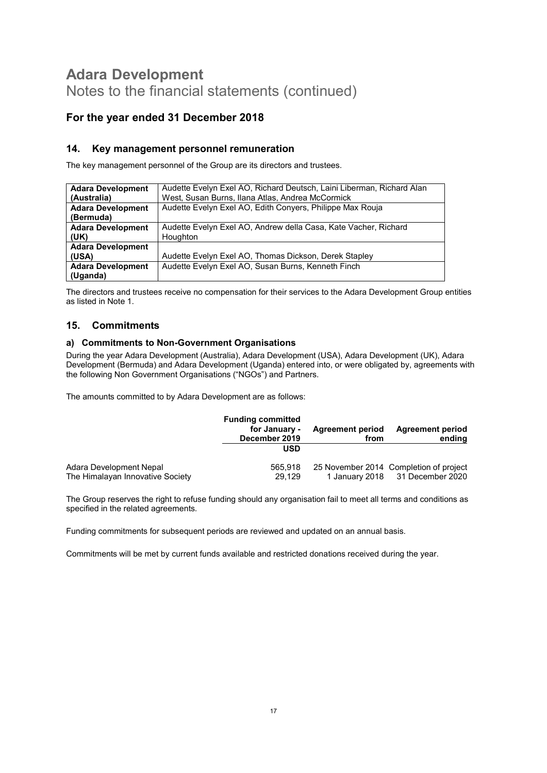# For the year ended 31 December 2018

### 14. Key management personnel remuneration

The key management personnel of the Group are its directors and trustees.

| <b>Adara Development</b> | Audette Evelyn Exel AO, Richard Deutsch, Laini Liberman, Richard Alan |
|--------------------------|-----------------------------------------------------------------------|
| (Australia)              | West, Susan Burns, Ilana Atlas, Andrea McCormick                      |
| <b>Adara Development</b> | Audette Evelyn Exel AO, Edith Conyers, Philippe Max Rouja             |
| (Bermuda)                |                                                                       |
| <b>Adara Development</b> | Audette Evelyn Exel AO, Andrew della Casa, Kate Vacher, Richard       |
| (UK)                     | Houghton                                                              |
| <b>Adara Development</b> |                                                                       |
| (USA)                    | Audette Evelyn Exel AO, Thomas Dickson, Derek Stapley                 |
| <b>Adara Development</b> | Audette Evelyn Exel AO, Susan Burns, Kenneth Finch                    |
| (Uganda)                 |                                                                       |

The directors and trustees receive no compensation for their services to the Adara Development Group entities as listed in Note 1.

#### 15. Commitments

#### a) Commitments to Non-Government Organisations

During the year Adara Development (Australia), Adara Development (USA), Adara Development (UK), Adara Development (Bermuda) and Adara Development (Uganda) entered into, or were obligated by, agreements with the following Non Government Organisations ("NGOs") and Partners.

The amounts committed to by Adara Development are as follows:

|                                  | <b>Funding committed</b><br>for January -<br>December 2019<br>USD | <b>Agreement period</b><br>from | <b>Agreement period</b><br>ending      |
|----------------------------------|-------------------------------------------------------------------|---------------------------------|----------------------------------------|
| Adara Development Nepal          | 565.918                                                           |                                 | 25 November 2014 Completion of project |
| The Himalayan Innovative Society | 29.129                                                            |                                 | 1 January 2018 31 December 2020        |

The Group reserves the right to refuse funding should any organisation fail to meet all terms and conditions as specified in the related agreements.

Funding commitments for subsequent periods are reviewed and updated on an annual basis.

Commitments will be met by current funds available and restricted donations received during the year.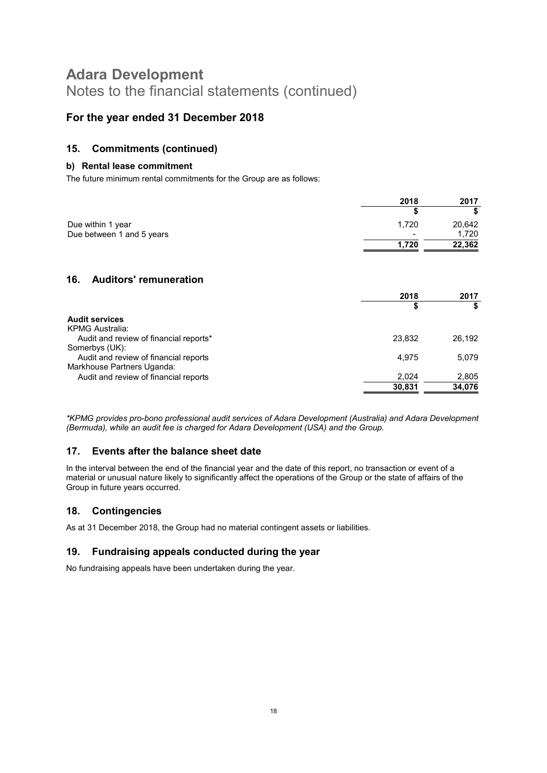### For the year ended 31 December 2018

### 15. Commitments (continued)

#### b) Rental lease commitment

The future minimum rental commitments for the Group are as follows:

|                           | 2018           | 2017   |
|---------------------------|----------------|--------|
|                           |                |        |
| Due within 1 year         | 1.720          | 20,642 |
| Due between 1 and 5 years | $\blacksquare$ | 1.720  |
|                           | 1.720          | 22,362 |

### 16. Auditors' remuneration

|                                        | 2018   | 2017   |
|----------------------------------------|--------|--------|
|                                        | \$     |        |
| <b>Audit services</b>                  |        |        |
| KPMG Australia:                        |        |        |
| Audit and review of financial reports* | 23,832 | 26.192 |
| Somerbys (UK):                         |        |        |
| Audit and review of financial reports  | 4.975  | 5,079  |
| Markhouse Partners Uganda:             |        |        |
| Audit and review of financial reports  | 2.024  | 2,805  |
|                                        | 30,831 | 34,076 |
|                                        |        |        |

\*KPMG provides pro-bono professional audit services of Adara Development (Australia) and Adara Development (Bermuda), while an audit fee is charged for Adara Development (USA) and the Group.

### 17. Events after the balance sheet date

In the interval between the end of the financial year and the date of this report, no transaction or event of a material or unusual nature likely to significantly affect the operations of the Group or the state of affairs of the Group in future years occurred.

### 18. Contingencies

As at 31 December 2018, the Group had no material contingent assets or liabilities.

### 19. Fundraising appeals conducted during the year

No fundraising appeals have been undertaken during the year.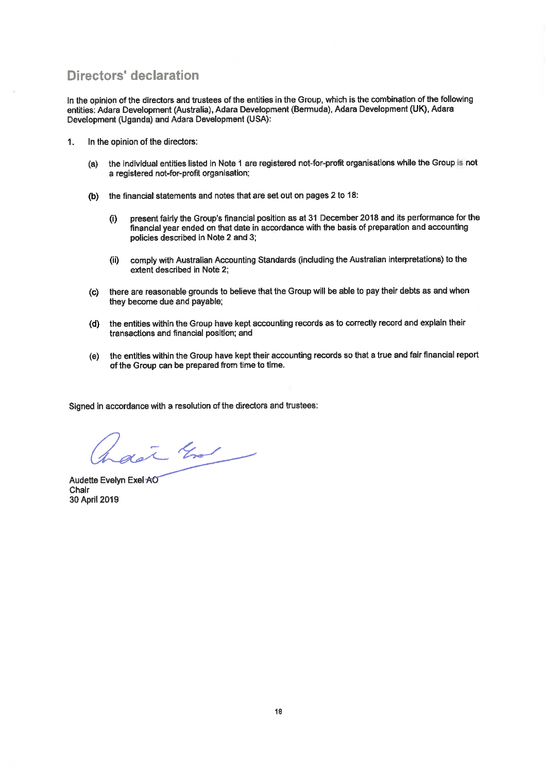# **Directors' declaration**

In the opinion of the directors and trustees of the entities in the Group, which is the combination of the following entities: Adara Development (Australia), Adara Development (Bermuda), Adara Development (UK), Adara Development (Uganda) and Adara Development (USA):

- $1.$ In the opinion of the directors:
	- the individual entities listed in Note 1 are registered not-for-profit organisations while the Group is not  $(a)$ a registered not-for-profit organisation;
	- (b) the financial statements and notes that are set out on pages 2 to 18:
		- present fairly the Group's financial position as at 31 December 2018 and its performance for the  $(i)$ financial year ended on that date in accordance with the basis of preparation and accounting policies described in Note 2 and 3:
		- comply with Australian Accounting Standards (including the Australian interpretations) to the  $(i)$ extent described in Note 2;
	- (c) there are reasonable grounds to believe that the Group will be able to pay their debts as and when they become due and payable;
	- (d) the entities within the Group have kept accounting records as to correctly record and explain their transactions and financial position; and
	- (e) the entities within the Group have kept their accounting records so that a true and fair financial report of the Group can be prepared from time to time.

Signed in accordance with a resolution of the directors and trustees:

dat that

Audette Evelyn Exel AO Chair 30 April 2019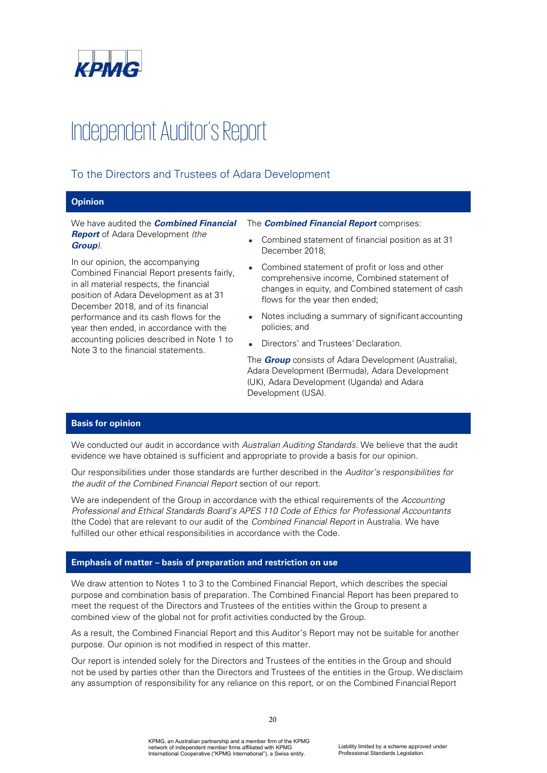

# Independent Auditor's Report

### To the Directors and Trustees of Adara Development

#### **Opinion**

We have audited the *Combined Financial*  **Report** of Adara Development *(the Group)*.

In our opinion, the accompanying Combined Financial Report presents fairly, in all material respects, the financial position of Adara Development as at 31 December 2018, and of its financial performance and its cash flows for the year then ended, in accordance with the accounting policies described in Note 1 to Note 3 to the financial statements.

The *Combined Financial Report* comprises:

- Combined statement of financial position as at 31 December 2018;
- Combined statement of profit or loss and other comprehensive income, Combined statement of changes in equity, and Combined statement of cash flows for the year then ended;
- Notes including a summary of significant accounting policies; and
- Directors' and Trustees' Declaration.

The *Group* consists of Adara Development (Australia), Adara Development (Bermuda), Adara Development (UK), Adara Development (Uganda) and Adara Development (USA).

#### **Basis for opinion**

We conducted our audit in accordance with *Australian Auditing Standards*. We believe that the audit evidence we have obtained is sufficient and appropriate to provide a basis for our opinion.

Our responsibilities under those standards are further described in the *Auditors responsibilities for the audit of the Combined Financial Report* section of our report.

We are independent of the Group in accordance with the ethical requirements of the *Accounting Professional and Ethical Standards Boards APES 110 Code of Ethics for Professional Accountants*  (the Code) that are relevant to our audit of the *Combined Financial Report* in Australia. We have fulfilled our other ethical responsibilities in accordance with the Code.

#### **Emphasis of matter basis of preparation and restriction on use**

We draw attention to Notes 1 to 3 to the Combined Financial Report, which describes the special purpose and combination basis of preparation. The Combined Financial Report has been prepared to meet the request of the Directors and Trustees of the entities within the Group to present a combined view of the global not for profit activities conducted by the Group.

As a result, the Combined Financial Report and this Auditor's Report may not be suitable for another purpose. Our opinion is not modified in respect of this matter.

Our report is intended solely for the Directors and Trustees of the entities in the Group and should not be used by parties other than the Directors and Trustees of the entities in the Group. We disclaim any assumption of responsibility for any reliance on this report, or on the Combined Financial Report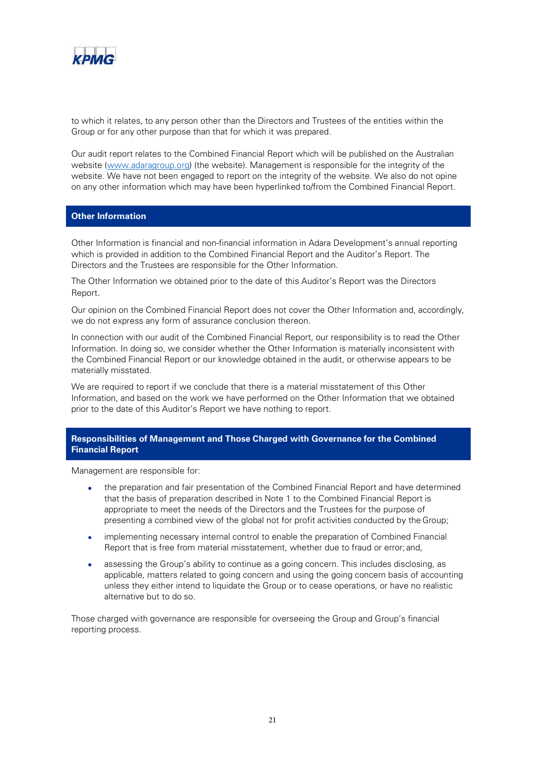

to which it relates, to any person other than the Directors and Trustees of the entities within the Group or for any other purpose than that for which it was prepared.

Our audit report relates to the Combined Financial Report which will be published on the Australian website (www.adaragroup.org) (the website). Management is responsible for the integrity of the website. We have not been engaged to report on the integrity of the website. We also do not opine on any other information which may have been hyperlinked to/from the Combined Financial Report.

#### **Other Information**

Other Information is financial and non-financial information in Adara Development's annual reporting which is provided in addition to the Combined Financial Report and the Auditor's Report. The Directors and the Trustees are responsible for the Other Information.

The Other Information we obtained prior to the date of this Auditor's Report was the Directors Report*.* 

Our opinion on the Combined Financial Report does not cover the Other Information and, accordingly, we do not express any form of assurance conclusion thereon.

In connection with our audit of the Combined Financial Report, our responsibility is to read the Other Information. In doing so, we consider whether the Other Information is materially inconsistent with the Combined Financial Report or our knowledge obtained in the audit, or otherwise appears to be materially misstated.

We are required to report if we conclude that there is a material misstatement of this Other Information, and based on the work we have performed on the Other Information that we obtained prior to the date of this Auditor's Report we have nothing to report.

#### **Responsibilities of Management and Those Charged with Governance for the Combined Financial Report**

Management are responsible for:

- the preparation and fair presentation of the Combined Financial Report and have determined that the basis of preparation described in Note 1 to the Combined Financial Report is appropriate to meet the needs of the Directors and the Trustees for the purpose of presenting a combined view of the global not for profit activities conducted by the Group;
- implementing necessary internal control to enable the preparation of Combined Financial Report that is free from material misstatement, whether due to fraud or error; and,
- assessing the Group's ability to continue as a going concern. This includes disclosing, as applicable, matters related to going concern and using the going concern basis of accounting unless they either intend to liquidate the Group or to cease operations, or have no realistic alternative but to do so.

Those charged with governance are responsible for overseeing the Group and Group's financial reporting process.